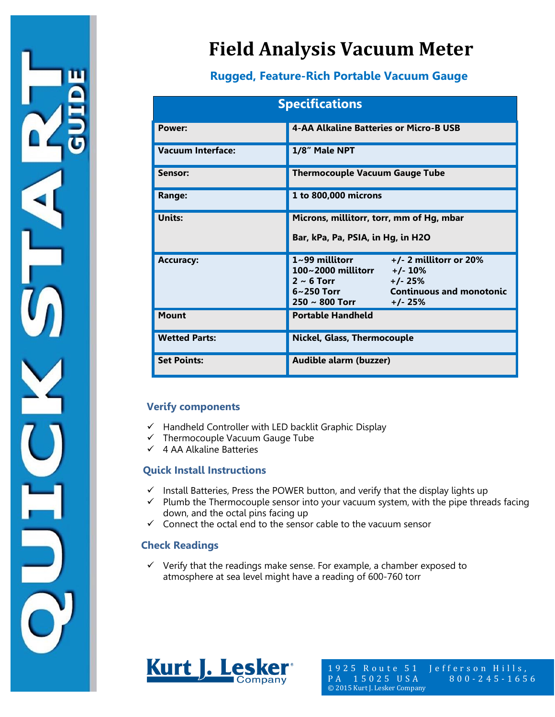

# **Field Analysis Vacuum Meter**

### **Rugged, Feature-Rich Portable Vacuum Gauge**

| <b>Specifications</b>    |                                                                                                                                                                                        |  |  |  |
|--------------------------|----------------------------------------------------------------------------------------------------------------------------------------------------------------------------------------|--|--|--|
| Power:                   | 4-AA Alkaline Batteries or Micro-B USB                                                                                                                                                 |  |  |  |
| <b>Vacuum Interface:</b> | 1/8" Male NPT                                                                                                                                                                          |  |  |  |
| Sensor:                  | <b>Thermocouple Vacuum Gauge Tube</b>                                                                                                                                                  |  |  |  |
| Range:                   | 1 to 800,000 microns                                                                                                                                                                   |  |  |  |
| Units:                   | Microns, millitorr, torr, mm of Hg, mbar<br>Bar, kPa, Pa, PSIA, in Hg, in H2O                                                                                                          |  |  |  |
| <b>Accuracy:</b>         | $1 - 99$ millitorr<br>$+/- 2$ millitorr or 20%<br>100~2000 millitorr +/-10%<br>$2 \sim 6$ Torr $+/- 25\%$<br>6~250 Torr <b>Continuous and monotonic</b><br>$250 \sim 800$ Torr +/- 25% |  |  |  |
| <b>Mount</b>             | <b>Portable Handheld</b>                                                                                                                                                               |  |  |  |
| <b>Wetted Parts:</b>     | <b>Nickel, Glass, Thermocouple</b>                                                                                                                                                     |  |  |  |
| <b>Set Points:</b>       | Audible alarm (buzzer)                                                                                                                                                                 |  |  |  |

#### **Verify components**

- $\checkmark$  Handheld Controller with LED backlit Graphic Display
- $\checkmark$  Thermocouple Vacuum Gauge Tube
- $\checkmark$  4 AA Alkaline Batteries

#### **Quick Install Instructions**

- $\checkmark$  Install Batteries, Press the POWER button, and verify that the display lights up
- $\checkmark$  Plumb the Thermocouple sensor into your vacuum system, with the pipe threads facing down, and the octal pins facing up
- $\checkmark$  Connect the octal end to the sensor cable to the vacuum sensor

#### **Check Readings**

 $\checkmark$  Verify that the readings make sense. For example, a chamber exposed to atmosphere at sea level might have a reading of 600-760 torr